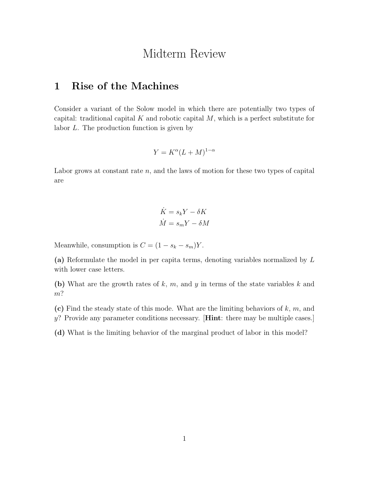## Midterm Review

## 1 Rise of the Machines

Consider a variant of the Solow model in which there are potentially two types of capital: traditional capital *K* and robotic capital *M*, which is a perfect substitute for labor *L*. The production function is given by

$$
Y = K^{\alpha} (L + M)^{1 - \alpha}
$$

Labor grows at constant rate *n*, and the laws of motion for these two types of capital are

$$
\dot{K} = s_k Y - \delta K
$$

$$
\dot{M} = s_m Y - \delta M
$$

Meanwhile, consumption is  $C = (1 - s_k - s_m)Y$ .

(a) Reformulate the model in per capita terms, denoting variables normalized by *L* with lower case letters.

(b) What are the growth rates of *k*, *m*, and *y* in terms of the state variables *k* and *m*?

(c) Find the steady state of this mode. What are the limiting behaviors of *k*, *m*, and *y*? Provide any parameter conditions necessary. [Hint: there may be multiple cases.]

(d) What is the limiting behavior of the marginal product of labor in this model?